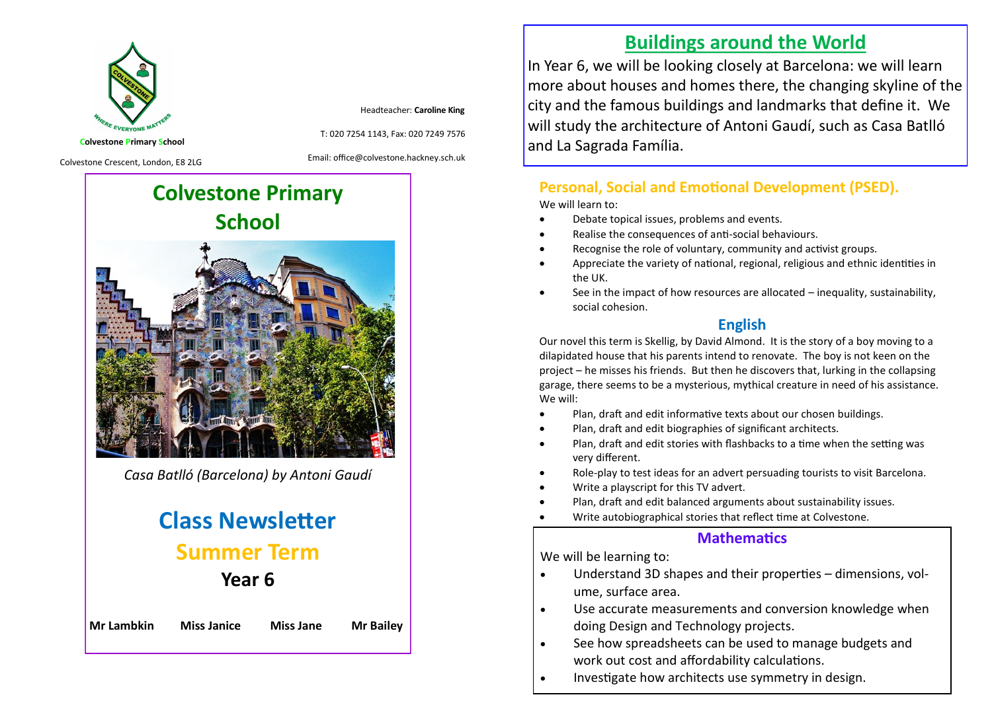

Headteacher: **Caroline King**

**Colvestone Primary School**

Email: office@colvestone.hackney.sch.uk

T: 020 7254 1143, Fax: 020 7249 7576



*Casa Batlló (Barcelona) by Antoni Gaudí* 

# **Class Newsletter Summer Term Year 6**

| Mr Lambkin<br><b>Miss Janice</b><br><b>Miss Jane</b> |  |  |  | <b>Mr Bailey</b> |
|------------------------------------------------------|--|--|--|------------------|
|------------------------------------------------------|--|--|--|------------------|

# **Buildings around the World**

In Year 6, we will be looking closely at Barcelona: we will learn more about houses and homes there, the changing skyline of the city and the famous buildings and landmarks that define it. We will study the architecture of Antoni Gaudí, such as Casa Batlló and La Sagrada Família.

#### **Personal, Social and Emotional Development (PSED).**

We will learn to:

- Debate topical issues, problems and events.
- Realise the consequences of anti-social behaviours.
- Recognise the role of voluntary, community and activist groups.
- Appreciate the variety of national, regional, religious and ethnic identities in the UK.
- See in the impact of how resources are allocated inequality, sustainability, social cohesion.

#### **English**

Our novel this term is Skellig, by David Almond. It is the story of a boy moving to a dilapidated house that his parents intend to renovate. The boy is not keen on the project – he misses his friends. But then he discovers that, lurking in the collapsing garage, there seems to be a mysterious, mythical creature in need of his assistance. We will:

- Plan, draft and edit informative texts about our chosen buildings.
- Plan, draft and edit biographies of significant architects.
- Plan, draft and edit stories with flashbacks to a time when the setting was very different.
- Role-play to test ideas for an advert persuading tourists to visit Barcelona.
- Write a playscript for this TV advert.
- Plan, draft and edit balanced arguments about sustainability issues.
- Write autobiographical stories that reflect time at Colvestone.

#### **Mathematics**

We will be learning to:

- Understand 3D shapes and their properties dimensions, volume, surface area.
- Use accurate measurements and conversion knowledge when doing Design and Technology projects.
- See how spreadsheets can be used to manage budgets and work out cost and affordability calculations.
- Investigate how architects use symmetry in design.